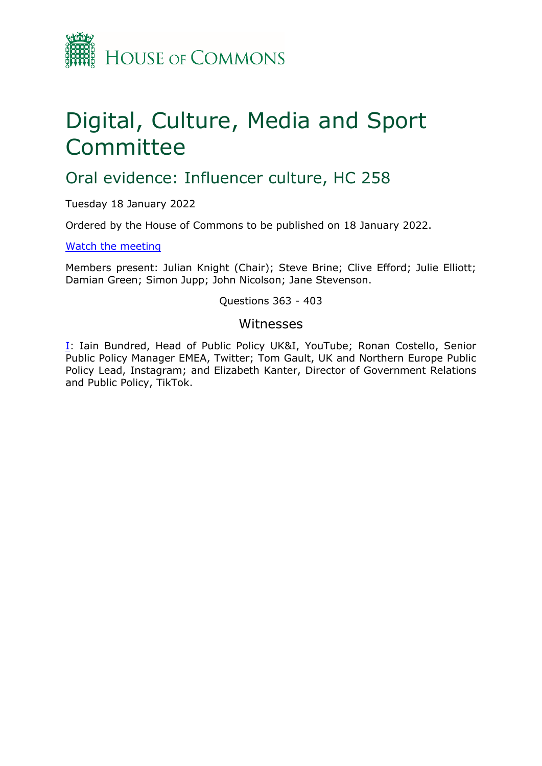

# Digital, Culture, Media and Sport Committee

## Oral evidence: Influencer culture, HC 258

Tuesday 18 January 2022

Ordered by the House of Commons to be published on 18 January 2022.

[Watch](https://www.parliamentlive.tv/Event/Index/a0fb9a2a-ea0a-4950-beab-0cedd69a831f) [the](https://www.parliamentlive.tv/Event/Index/a0fb9a2a-ea0a-4950-beab-0cedd69a831f) [meeting](https://www.parliamentlive.tv/Event/Index/a0fb9a2a-ea0a-4950-beab-0cedd69a831f)

Members present: Julian Knight (Chair); Steve Brine; Clive Efford; Julie Elliott; Damian Green; Simon Jupp; John Nicolson; Jane Stevenson.

#### Questions 363 - 403

#### Witnesses

[I:](#page-1-0) Iain Bundred, Head of Public Policy UK&I, YouTube; Ronan Costello, Senior Public Policy Manager EMEA, Twitter; Tom Gault, UK and Northern Europe Public Policy Lead, Instagram; and Elizabeth Kanter, Director of Government Relations and Public Policy, TikTok.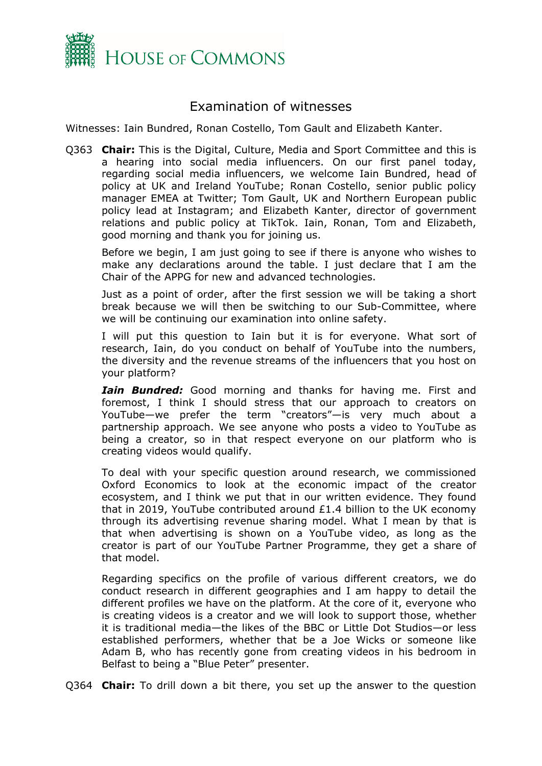

### <span id="page-1-0"></span>Examination of witnesses

Witnesses: Iain Bundred, Ronan Costello, Tom Gault and Elizabeth Kanter.

Q363 **Chair:** This is the Digital, Culture, Media and Sport Committee and this is a hearing into social media influencers. On our first panel today, regarding social media influencers, we welcome Iain Bundred, head of policy at UK and Ireland YouTube; Ronan Costello, senior public policy manager EMEA at Twitter; Tom Gault, UK and Northern European public policy lead at Instagram; and Elizabeth Kanter, director of government relations and public policy at TikTok. Iain, Ronan, Tom and Elizabeth, good morning and thank you for joining us.

Before we begin, I am just going to see if there is anyone who wishes to make any declarations around the table. I just declare that I am the Chair of the APPG for new and advanced technologies.

Just as a point of order, after the first session we will be taking a short break because we will then be switching to our Sub-Committee, where we will be continuing our examination into online safety.

I will put this question to Iain but it is for everyone. What sort of research, Iain, do you conduct on behalf of YouTube into the numbers, the diversity and the revenue streams of the influencers that you host on your platform?

*Iain Bundred:* Good morning and thanks for having me. First and foremost, I think I should stress that our approach to creators on YouTube—we prefer the term "creators"—is very much about a partnership approach. We see anyone who posts a video to YouTube as being a creator, so in that respect everyone on our platform who is creating videos would qualify.

To deal with your specific question around research, we commissioned Oxford Economics to look at the economic impact of the creator ecosystem, and I think we put that in our written evidence. They found that in 2019, YouTube contributed around £1.4 billion to the UK economy through its advertising revenue sharing model. What I mean by that is that when advertising is shown on a YouTube video, as long as the creator is part of our YouTube Partner Programme, they get a share of that model.

Regarding specifics on the profile of various different creators, we do conduct research in different geographies and I am happy to detail the different profiles we have on the platform. At the core of it, everyone who is creating videos is a creator and we will look to support those, whether it is traditional media—the likes of the BBC or Little Dot Studios—or less established performers, whether that be a Joe Wicks or someone like Adam B, who has recently gone from creating videos in his bedroom in Belfast to being a "Blue Peter" presenter.

Q364 **Chair:** To drill down a bit there, you set up the answer to the question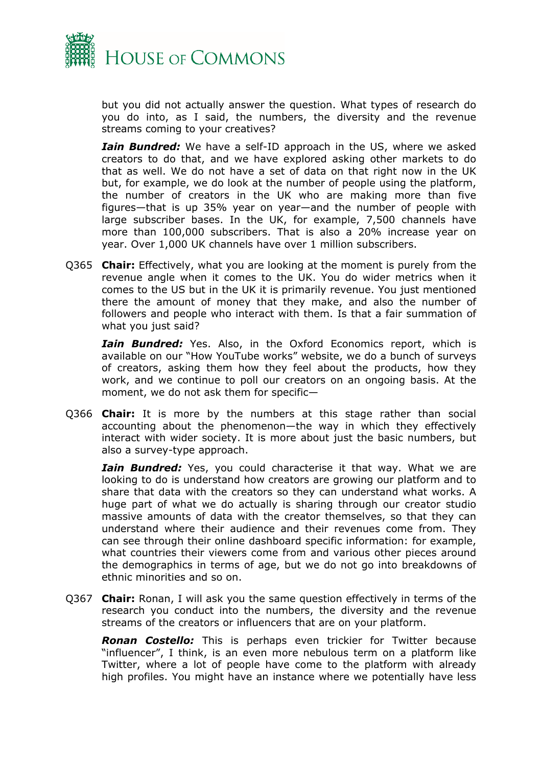

but you did not actually answer the question. What types of research do you do into, as I said, the numbers, the diversity and the revenue streams coming to your creatives?

*Iain Bundred:* We have a self-ID approach in the US, where we asked creators to do that, and we have explored asking other markets to do that as well. We do not have a set of data on that right now in the UK but, for example, we do look at the number of people using the platform, the number of creators in the UK who are making more than five figures—that is up 35% year on year—and the number of people with large subscriber bases. In the UK, for example, 7,500 channels have more than 100,000 subscribers. That is also a 20% increase year on year. Over 1,000 UK channels have over 1 million subscribers.

Q365 **Chair:** Effectively, what you are looking at the moment is purely from the revenue angle when it comes to the UK. You do wider metrics when it comes to the US but in the UK it is primarily revenue. You just mentioned there the amount of money that they make, and also the number of followers and people who interact with them. Is that a fair summation of what you just said?

*Iain Bundred:* Yes. Also, in the Oxford Economics report, which is available on our "How YouTube works" website, we do a bunch of surveys of creators, asking them how they feel about the products, how they work, and we continue to poll our creators on an ongoing basis. At the moment, we do not ask them for specific—

Q366 **Chair:** It is more by the numbers at this stage rather than social accounting about the phenomenon—the way in which they effectively interact with wider society. It is more about just the basic numbers, but also a survey-type approach.

*Iain Bundred:* Yes, you could characterise it that way. What we are looking to do is understand how creators are growing our platform and to share that data with the creators so they can understand what works. A huge part of what we do actually is sharing through our creator studio massive amounts of data with the creator themselves, so that they can understand where their audience and their revenues come from. They can see through their online dashboard specific information: for example, what countries their viewers come from and various other pieces around the demographics in terms of age, but we do not go into breakdowns of ethnic minorities and so on.

Q367 **Chair:** Ronan, I will ask you the same question effectively in terms of the research you conduct into the numbers, the diversity and the revenue streams of the creators or influencers that are on your platform.

*Ronan Costello:* This is perhaps even trickier for Twitter because "influencer", I think, is an even more nebulous term on a platform like Twitter, where a lot of people have come to the platform with already high profiles. You might have an instance where we potentially have less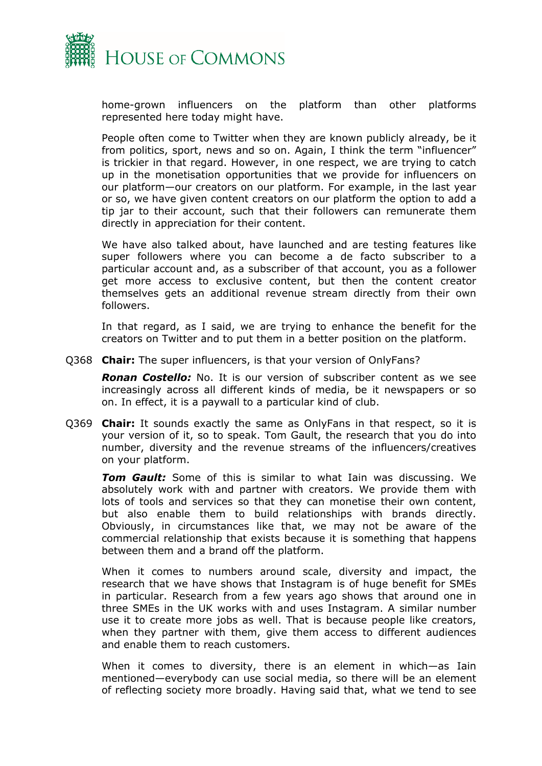

home-grown influencers on the platform than other platforms represented here today might have.

People often come to Twitter when they are known publicly already, be it from politics, sport, news and so on. Again, I think the term "influencer" is trickier in that regard. However, in one respect, we are trying to catch up in the monetisation opportunities that we provide for influencers on our platform—our creators on our platform. For example, in the last year or so, we have given content creators on our platform the option to add a tip jar to their account, such that their followers can remunerate them directly in appreciation for their content.

We have also talked about, have launched and are testing features like super followers where you can become a de facto subscriber to a particular account and, as a subscriber of that account, you as a follower get more access to exclusive content, but then the content creator themselves gets an additional revenue stream directly from their own followers.

In that regard, as I said, we are trying to enhance the benefit for the creators on Twitter and to put them in a better position on the platform.

Q368 **Chair:** The super influencers, is that your version of OnlyFans?

*Ronan Costello:* No. It is our version of subscriber content as we see increasingly across all different kinds of media, be it newspapers or so on. In effect, it is a paywall to a particular kind of club.

Q369 **Chair:** It sounds exactly the same as OnlyFans in that respect, so it is your version of it, so to speak. Tom Gault, the research that you do into number, diversity and the revenue streams of the influencers/creatives on your platform.

*Tom Gault:* Some of this is similar to what Iain was discussing. We absolutely work with and partner with creators. We provide them with lots of tools and services so that they can monetise their own content, but also enable them to build relationships with brands directly. Obviously, in circumstances like that, we may not be aware of the commercial relationship that exists because it is something that happens between them and a brand off the platform.

When it comes to numbers around scale, diversity and impact, the research that we have shows that Instagram is of huge benefit for SMEs in particular. Research from a few years ago shows that around one in three SMEs in the UK works with and uses Instagram. A similar number use it to create more jobs as well. That is because people like creators, when they partner with them, give them access to different audiences and enable them to reach customers.

When it comes to diversity, there is an element in which—as Iain mentioned—everybody can use social media, so there will be an element of reflecting society more broadly. Having said that, what we tend to see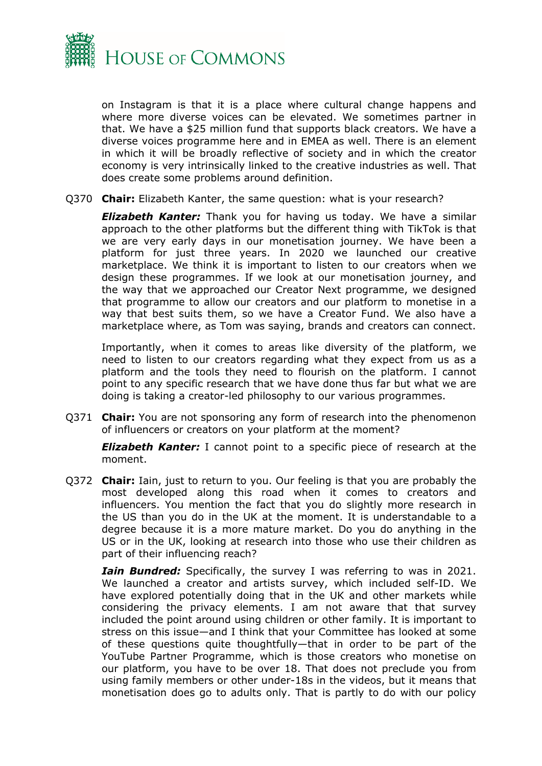

on Instagram is that it is a place where cultural change happens and where more diverse voices can be elevated. We sometimes partner in that. We have a \$25 million fund that supports black creators. We have a diverse voices programme here and in EMEA as well. There is an element in which it will be broadly reflective of society and in which the creator economy is very intrinsically linked to the creative industries as well. That does create some problems around definition.

Q370 **Chair:** Elizabeth Kanter, the same question: what is your research?

*Elizabeth Kanter:* Thank you for having us today. We have a similar approach to the other platforms but the different thing with TikTok is that we are very early days in our monetisation journey. We have been a platform for just three years. In 2020 we launched our creative marketplace. We think it is important to listen to our creators when we design these programmes. If we look at our monetisation journey, and the way that we approached our Creator Next programme, we designed that programme to allow our creators and our platform to monetise in a way that best suits them, so we have a Creator Fund. We also have a marketplace where, as Tom was saying, brands and creators can connect.

Importantly, when it comes to areas like diversity of the platform, we need to listen to our creators regarding what they expect from us as a platform and the tools they need to flourish on the platform. I cannot point to any specific research that we have done thus far but what we are doing is taking a creator-led philosophy to our various programmes.

Q371 **Chair:** You are not sponsoring any form of research into the phenomenon of influencers or creators on your platform at the moment?

*Elizabeth Kanter:* I cannot point to a specific piece of research at the moment.

Q372 **Chair:** Iain, just to return to you. Our feeling is that you are probably the most developed along this road when it comes to creators and influencers. You mention the fact that you do slightly more research in the US than you do in the UK at the moment. It is understandable to a degree because it is a more mature market. Do you do anything in the US or in the UK, looking at research into those who use their children as part of their influencing reach?

*Iain Bundred:* Specifically, the survey I was referring to was in 2021. We launched a creator and artists survey, which included self-ID. We have explored potentially doing that in the UK and other markets while considering the privacy elements. I am not aware that that survey included the point around using children or other family. It is important to stress on this issue—and I think that your Committee has looked at some of these questions quite thoughtfully—that in order to be part of the YouTube Partner Programme, which is those creators who monetise on our platform, you have to be over 18. That does not preclude you from using family members or other under-18s in the videos, but it means that monetisation does go to adults only. That is partly to do with our policy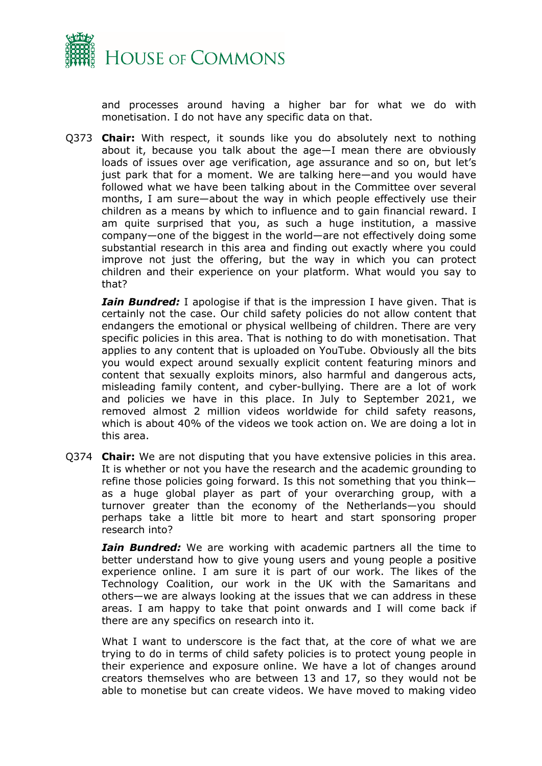

and processes around having a higher bar for what we do with monetisation. I do not have any specific data on that.

Q373 **Chair:** With respect, it sounds like you do absolutely next to nothing about it, because you talk about the age—I mean there are obviously loads of issues over age verification, age assurance and so on, but let's just park that for a moment. We are talking here—and you would have followed what we have been talking about in the Committee over several months, I am sure—about the way in which people effectively use their children as a means by which to influence and to gain financial reward. I am quite surprised that you, as such a huge institution, a massive company—one of the biggest in the world—are not effectively doing some substantial research in this area and finding out exactly where you could improve not just the offering, but the way in which you can protect children and their experience on your platform. What would you say to that?

*Iain Bundred:* I apologise if that is the impression I have given. That is certainly not the case. Our child safety policies do not allow content that endangers the emotional or physical wellbeing of children. There are very specific policies in this area. That is nothing to do with monetisation. That applies to any content that is uploaded on YouTube. Obviously all the bits you would expect around sexually explicit content featuring minors and content that sexually exploits minors, also harmful and dangerous acts, misleading family content, and cyber-bullying. There are a lot of work and policies we have in this place. In July to September 2021, we removed almost 2 million videos worldwide for child safety reasons, which is about 40% of the videos we took action on. We are doing a lot in this area.

Q374 **Chair:** We are not disputing that you have extensive policies in this area. It is whether or not you have the research and the academic grounding to refine those policies going forward. Is this not something that you think as a huge global player as part of your overarching group, with a turnover greater than the economy of the Netherlands—you should perhaps take a little bit more to heart and start sponsoring proper research into?

*Iain Bundred:* We are working with academic partners all the time to better understand how to give young users and young people a positive experience online. I am sure it is part of our work. The likes of the Technology Coalition, our work in the UK with the Samaritans and others—we are always looking at the issues that we can address in these areas. I am happy to take that point onwards and I will come back if there are any specifics on research into it.

What I want to underscore is the fact that, at the core of what we are trying to do in terms of child safety policies is to protect young people in their experience and exposure online. We have a lot of changes around creators themselves who are between 13 and 17, so they would not be able to monetise but can create videos. We have moved to making video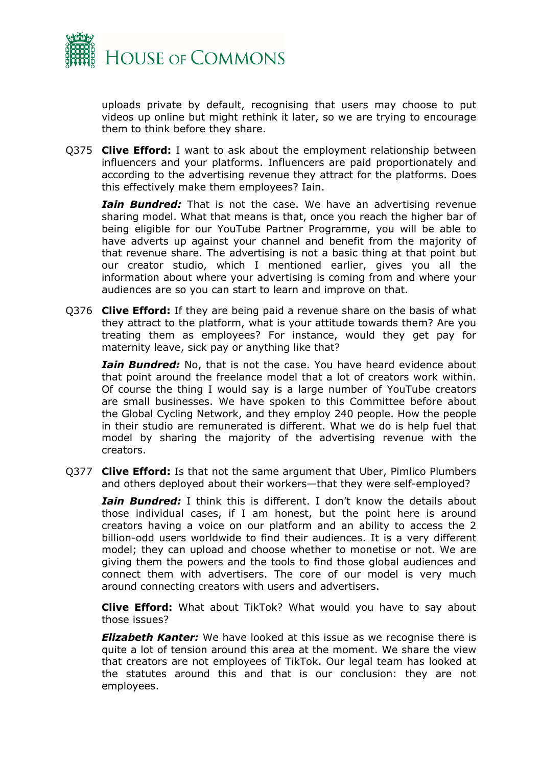

uploads private by default, recognising that users may choose to put videos up online but might rethink it later, so we are trying to encourage them to think before they share.

Q375 **Clive Efford:** I want to ask about the employment relationship between influencers and your platforms. Influencers are paid proportionately and according to the advertising revenue they attract for the platforms. Does this effectively make them employees? Iain.

*Iain Bundred:* That is not the case. We have an advertising revenue sharing model. What that means is that, once you reach the higher bar of being eligible for our YouTube Partner Programme, you will be able to have adverts up against your channel and benefit from the majority of that revenue share. The advertising is not a basic thing at that point but our creator studio, which I mentioned earlier, gives you all the information about where your advertising is coming from and where your audiences are so you can start to learn and improve on that.

Q376 **Clive Efford:** If they are being paid a revenue share on the basis of what they attract to the platform, what is your attitude towards them? Are you treating them as employees? For instance, would they get pay for maternity leave, sick pay or anything like that?

*Iain Bundred:* No, that is not the case. You have heard evidence about that point around the freelance model that a lot of creators work within. Of course the thing I would say is a large number of YouTube creators are small businesses. We have spoken to this Committee before about the Global Cycling Network, and they employ 240 people. How the people in their studio are remunerated is different. What we do is help fuel that model by sharing the majority of the advertising revenue with the creators.

Q377 **Clive Efford:** Is that not the same argument that Uber, Pimlico Plumbers and others deployed about their workers—that they were self-employed?

*Iain Bundred:* I think this is different. I don't know the details about those individual cases, if I am honest, but the point here is around creators having a voice on our platform and an ability to access the 2 billion-odd users worldwide to find their audiences. It is a very different model; they can upload and choose whether to monetise or not. We are giving them the powers and the tools to find those global audiences and connect them with advertisers. The core of our model is very much around connecting creators with users and advertisers.

**Clive Efford:** What about TikTok? What would you have to say about those issues?

*Elizabeth Kanter:* We have looked at this issue as we recognise there is quite a lot of tension around this area at the moment. We share the view that creators are not employees of TikTok. Our legal team has looked at the statutes around this and that is our conclusion: they are not employees.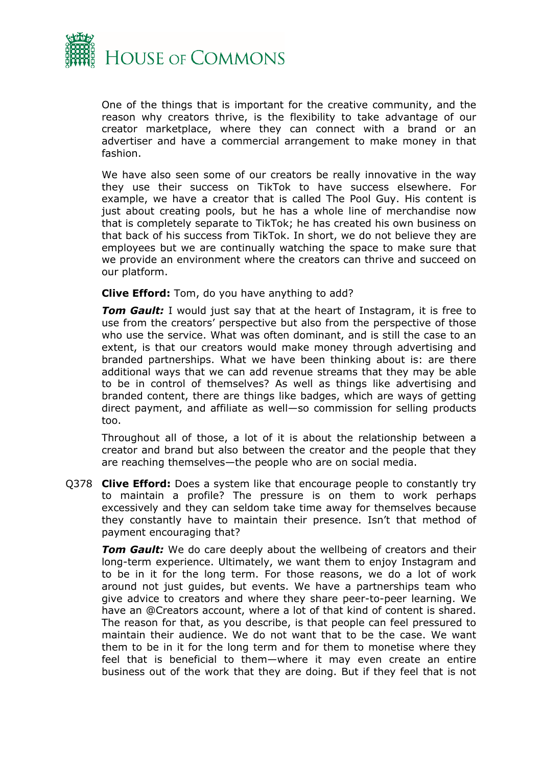

One of the things that is important for the creative community, and the reason why creators thrive, is the flexibility to take advantage of our creator marketplace, where they can connect with a brand or an advertiser and have a commercial arrangement to make money in that fashion.

We have also seen some of our creators be really innovative in the way they use their success on TikTok to have success elsewhere. For example, we have a creator that is called The Pool Guy. His content is just about creating pools, but he has a whole line of merchandise now that is completely separate to TikTok; he has created his own business on that back of his success from TikTok. In short, we do not believe they are employees but we are continually watching the space to make sure that we provide an environment where the creators can thrive and succeed on our platform.

**Clive Efford:** Tom, do you have anything to add?

*Tom Gault:* I would just say that at the heart of Instagram, it is free to use from the creators' perspective but also from the perspective of those who use the service. What was often dominant, and is still the case to an extent, is that our creators would make money through advertising and branded partnerships. What we have been thinking about is: are there additional ways that we can add revenue streams that they may be able to be in control of themselves? As well as things like advertising and branded content, there are things like badges, which are ways of getting direct payment, and affiliate as well—so commission for selling products too.

Throughout all of those, a lot of it is about the relationship between a creator and brand but also between the creator and the people that they are reaching themselves—the people who are on social media.

Q378 **Clive Efford:** Does a system like that encourage people to constantly try to maintain a profile? The pressure is on them to work perhaps excessively and they can seldom take time away for themselves because they constantly have to maintain their presence. Isn't that method of payment encouraging that?

**Tom Gault:** We do care deeply about the wellbeing of creators and their long-term experience. Ultimately, we want them to enjoy Instagram and to be in it for the long term. For those reasons, we do a lot of work around not just guides, but events. We have a partnerships team who give advice to creators and where they share peer-to-peer learning. We have an @Creators account, where a lot of that kind of content is shared. The reason for that, as you describe, is that people can feel pressured to maintain their audience. We do not want that to be the case. We want them to be in it for the long term and for them to monetise where they feel that is beneficial to them—where it may even create an entire business out of the work that they are doing. But if they feel that is not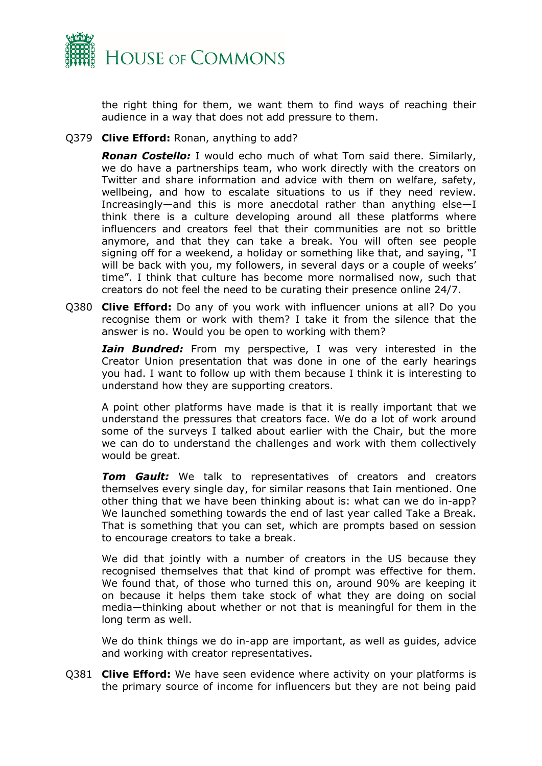

the right thing for them, we want them to find ways of reaching their audience in a way that does not add pressure to them.

Q379 **Clive Efford:** Ronan, anything to add?

*Ronan Costello:* I would echo much of what Tom said there. Similarly, we do have a partnerships team, who work directly with the creators on Twitter and share information and advice with them on welfare, safety, wellbeing, and how to escalate situations to us if they need review. Increasingly—and this is more anecdotal rather than anything else—I think there is a culture developing around all these platforms where influencers and creators feel that their communities are not so brittle anymore, and that they can take a break. You will often see people signing off for a weekend, a holiday or something like that, and saying, "I will be back with you, my followers, in several days or a couple of weeks' time". I think that culture has become more normalised now, such that creators do not feel the need to be curating their presence online 24/7.

Q380 **Clive Efford:** Do any of you work with influencer unions at all? Do you recognise them or work with them? I take it from the silence that the answer is no. Would you be open to working with them?

*Iain Bundred:* From my perspective, I was very interested in the Creator Union presentation that was done in one of the early hearings you had. I want to follow up with them because I think it is interesting to understand how they are supporting creators.

A point other platforms have made is that it is really important that we understand the pressures that creators face. We do a lot of work around some of the surveys I talked about earlier with the Chair, but the more we can do to understand the challenges and work with them collectively would be great.

*Tom Gault:* We talk to representatives of creators and creators themselves every single day, for similar reasons that Iain mentioned. One other thing that we have been thinking about is: what can we do in-app? We launched something towards the end of last year called Take a Break. That is something that you can set, which are prompts based on session to encourage creators to take a break.

We did that jointly with a number of creators in the US because they recognised themselves that that kind of prompt was effective for them. We found that, of those who turned this on, around 90% are keeping it on because it helps them take stock of what they are doing on social media—thinking about whether or not that is meaningful for them in the long term as well.

We do think things we do in-app are important, as well as guides, advice and working with creator representatives.

Q381 **Clive Efford:** We have seen evidence where activity on your platforms is the primary source of income for influencers but they are not being paid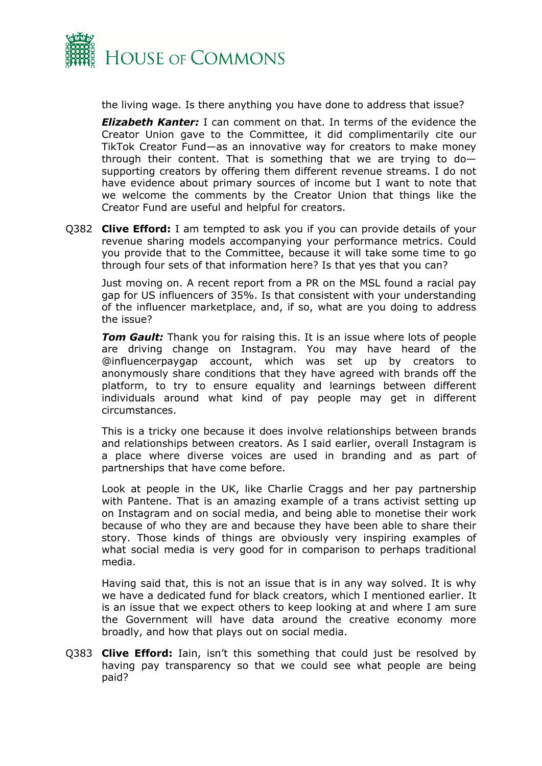

the living wage. Is there anything you have done to address that issue?

*Elizabeth Kanter:* I can comment on that. In terms of the evidence the Creator Union gave to the Committee, it did complimentarily cite our TikTok Creator Fund—as an innovative way for creators to make money through their content. That is something that we are trying to  $do$ supporting creators by offering them different revenue streams. I do not have evidence about primary sources of income but I want to note that we welcome the comments by the Creator Union that things like the Creator Fund are useful and helpful for creators.

Q382 **Clive Efford:** I am tempted to ask you if you can provide details of your revenue sharing models accompanying your performance metrics. Could you provide that to the Committee, because it will take some time to go through four sets of that information here? Is that yes that you can?

Just moving on. A recent report from a PR on the MSL found a racial pay gap for US influencers of 35%. Is that consistent with your understanding of the influencer marketplace, and, if so, what are you doing to address the issue?

*Tom Gault:* Thank you for raising this. It is an issue where lots of people are driving change on Instagram. You may have heard of the @influencerpaygap account, which was set up by creators to anonymously share conditions that they have agreed with brands off the platform, to try to ensure equality and learnings between different individuals around what kind of pay people may get in different circumstances.

This is a tricky one because it does involve relationships between brands and relationships between creators. As I said earlier, overall Instagram is a place where diverse voices are used in branding and as part of partnerships that have come before.

Look at people in the UK, like Charlie Craggs and her pay partnership with Pantene. That is an amazing example of a trans activist setting up on Instagram and on social media, and being able to monetise their work because of who they are and because they have been able to share their story. Those kinds of things are obviously very inspiring examples of what social media is very good for in comparison to perhaps traditional media.

Having said that, this is not an issue that is in any way solved. It is why we have a dedicated fund for black creators, which I mentioned earlier. It is an issue that we expect others to keep looking at and where I am sure the Government will have data around the creative economy more broadly, and how that plays out on social media.

Q383 **Clive Efford:** Iain, isn't this something that could just be resolved by having pay transparency so that we could see what people are being paid?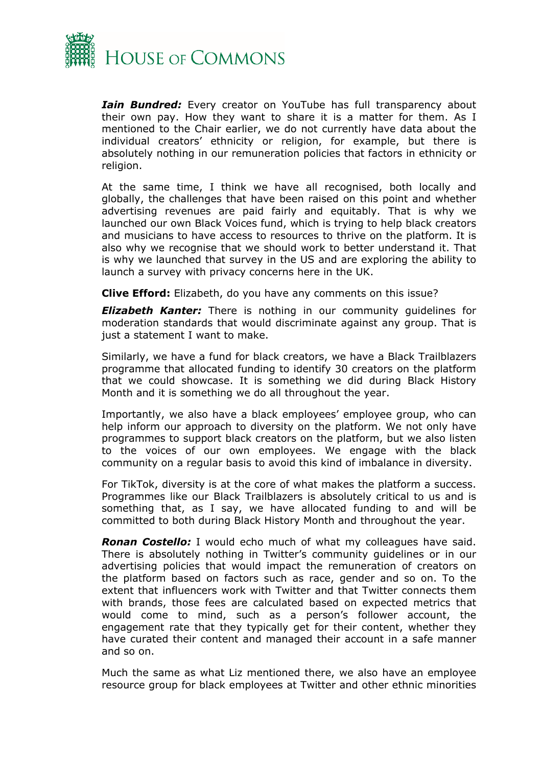

*Iain Bundred:* Every creator on YouTube has full transparency about their own pay. How they want to share it is a matter for them. As I mentioned to the Chair earlier, we do not currently have data about the individual creators' ethnicity or religion, for example, but there is absolutely nothing in our remuneration policies that factors in ethnicity or religion.

At the same time, I think we have all recognised, both locally and globally, the challenges that have been raised on this point and whether advertising revenues are paid fairly and equitably. That is why we launched our own Black Voices fund, which is trying to help black creators and musicians to have access to resources to thrive on the platform. It is also why we recognise that we should work to better understand it. That is why we launched that survey in the US and are exploring the ability to launch a survey with privacy concerns here in the UK.

**Clive Efford:** Elizabeth, do you have any comments on this issue?

**Elizabeth Kanter:** There is nothing in our community guidelines for moderation standards that would discriminate against any group. That is just a statement I want to make.

Similarly, we have a fund for black creators, we have a Black Trailblazers programme that allocated funding to identify 30 creators on the platform that we could showcase. It is something we did during Black History Month and it is something we do all throughout the year.

Importantly, we also have a black employees' employee group, who can help inform our approach to diversity on the platform. We not only have programmes to support black creators on the platform, but we also listen to the voices of our own employees. We engage with the black community on a regular basis to avoid this kind of imbalance in diversity.

For TikTok, diversity is at the core of what makes the platform a success. Programmes like our Black Trailblazers is absolutely critical to us and is something that, as I say, we have allocated funding to and will be committed to both during Black History Month and throughout the year.

*Ronan Costello:* I would echo much of what my colleagues have said. There is absolutely nothing in Twitter's community guidelines or in our advertising policies that would impact the remuneration of creators on the platform based on factors such as race, gender and so on. To the extent that influencers work with Twitter and that Twitter connects them with brands, those fees are calculated based on expected metrics that would come to mind, such as a person's follower account, the engagement rate that they typically get for their content, whether they have curated their content and managed their account in a safe manner and so on.

Much the same as what Liz mentioned there, we also have an employee resource group for black employees at Twitter and other ethnic minorities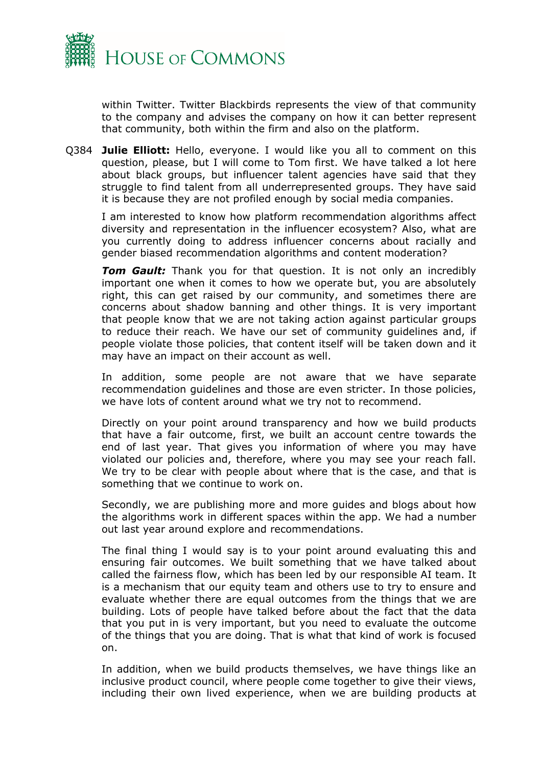

within Twitter. Twitter Blackbirds represents the view of that community to the company and advises the company on how it can better represent that community, both within the firm and also on the platform.

Q384 **Julie Elliott:** Hello, everyone. I would like you all to comment on this question, please, but I will come to Tom first. We have talked a lot here about black groups, but influencer talent agencies have said that they struggle to find talent from all underrepresented groups. They have said it is because they are not profiled enough by social media companies.

I am interested to know how platform recommendation algorithms affect diversity and representation in the influencer ecosystem? Also, what are you currently doing to address influencer concerns about racially and gender biased recommendation algorithms and content moderation?

**Tom Gault:** Thank you for that question. It is not only an incredibly important one when it comes to how we operate but, you are absolutely right, this can get raised by our community, and sometimes there are concerns about shadow banning and other things. It is very important that people know that we are not taking action against particular groups to reduce their reach. We have our set of community guidelines and, if people violate those policies, that content itself will be taken down and it may have an impact on their account as well.

In addition, some people are not aware that we have separate recommendation guidelines and those are even stricter. In those policies, we have lots of content around what we try not to recommend.

Directly on your point around transparency and how we build products that have a fair outcome, first, we built an account centre towards the end of last year. That gives you information of where you may have violated our policies and, therefore, where you may see your reach fall. We try to be clear with people about where that is the case, and that is something that we continue to work on.

Secondly, we are publishing more and more guides and blogs about how the algorithms work in different spaces within the app. We had a number out last year around explore and recommendations.

The final thing I would say is to your point around evaluating this and ensuring fair outcomes. We built something that we have talked about called the fairness flow, which has been led by our responsible AI team. It is a mechanism that our equity team and others use to try to ensure and evaluate whether there are equal outcomes from the things that we are building. Lots of people have talked before about the fact that the data that you put in is very important, but you need to evaluate the outcome of the things that you are doing. That is what that kind of work is focused on.

In addition, when we build products themselves, we have things like an inclusive product council, where people come together to give their views, including their own lived experience, when we are building products at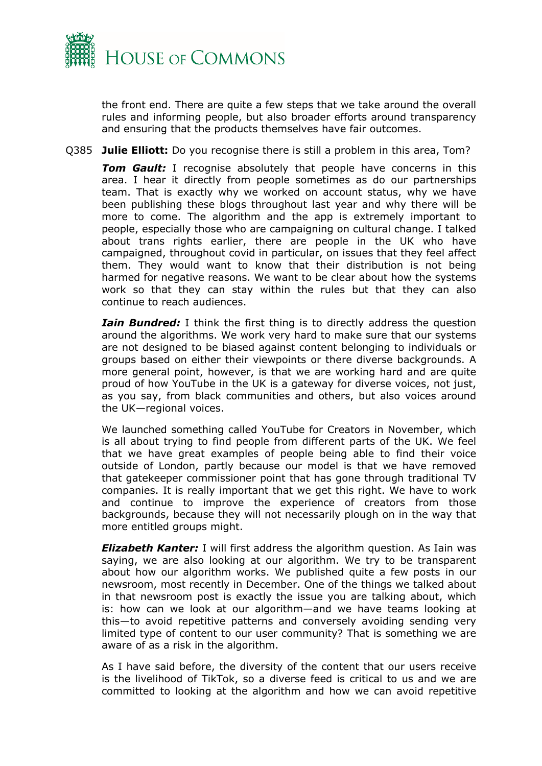

the front end. There are quite a few steps that we take around the overall rules and informing people, but also broader efforts around transparency and ensuring that the products themselves have fair outcomes.

Q385 **Julie Elliott:** Do you recognise there is still a problem in this area, Tom?

**Tom Gault:** I recognise absolutely that people have concerns in this area. I hear it directly from people sometimes as do our partnerships team. That is exactly why we worked on account status, why we have been publishing these blogs throughout last year and why there will be more to come. The algorithm and the app is extremely important to people, especially those who are campaigning on cultural change. I talked about trans rights earlier, there are people in the UK who have campaigned, throughout covid in particular, on issues that they feel affect them. They would want to know that their distribution is not being harmed for negative reasons. We want to be clear about how the systems work so that they can stay within the rules but that they can also continue to reach audiences.

*Iain Bundred:* I think the first thing is to directly address the question around the algorithms. We work very hard to make sure that our systems are not designed to be biased against content belonging to individuals or groups based on either their viewpoints or there diverse backgrounds. A more general point, however, is that we are working hard and are quite proud of how YouTube in the UK is a gateway for diverse voices, not just, as you say, from black communities and others, but also voices around the UK—regional voices.

We launched something called YouTube for Creators in November, which is all about trying to find people from different parts of the UK. We feel that we have great examples of people being able to find their voice outside of London, partly because our model is that we have removed that gatekeeper commissioner point that has gone through traditional TV companies. It is really important that we get this right. We have to work and continue to improve the experience of creators from those backgrounds, because they will not necessarily plough on in the way that more entitled groups might.

*Elizabeth Kanter:* I will first address the algorithm question. As Iain was saying, we are also looking at our algorithm. We try to be transparent about how our algorithm works. We published quite a few posts in our newsroom, most recently in December. One of the things we talked about in that newsroom post is exactly the issue you are talking about, which is: how can we look at our algorithm—and we have teams looking at this—to avoid repetitive patterns and conversely avoiding sending very limited type of content to our user community? That is something we are aware of as a risk in the algorithm.

As I have said before, the diversity of the content that our users receive is the livelihood of TikTok, so a diverse feed is critical to us and we are committed to looking at the algorithm and how we can avoid repetitive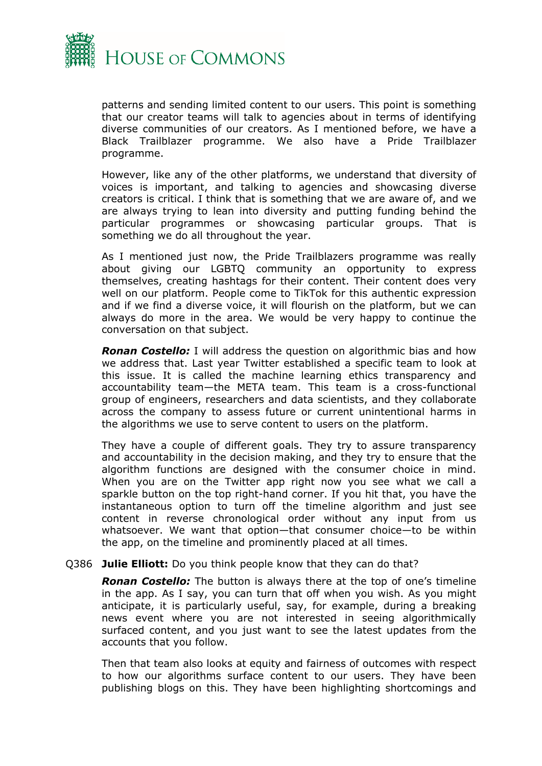

patterns and sending limited content to our users. This point is something that our creator teams will talk to agencies about in terms of identifying diverse communities of our creators. As I mentioned before, we have a Black Trailblazer programme. We also have a Pride Trailblazer programme.

However, like any of the other platforms, we understand that diversity of voices is important, and talking to agencies and showcasing diverse creators is critical. I think that is something that we are aware of, and we are always trying to lean into diversity and putting funding behind the particular programmes or showcasing particular groups. That is something we do all throughout the year.

As I mentioned just now, the Pride Trailblazers programme was really about giving our LGBTQ community an opportunity to express themselves, creating hashtags for their content. Their content does very well on our platform. People come to TikTok for this authentic expression and if we find a diverse voice, it will flourish on the platform, but we can always do more in the area. We would be very happy to continue the conversation on that subject.

*Ronan Costello:* I will address the question on algorithmic bias and how we address that. Last year Twitter established a specific team to look at this issue. It is called the machine learning ethics transparency and accountability team—the META team. This team is a cross-functional group of engineers, researchers and data scientists, and they collaborate across the company to assess future or current unintentional harms in the algorithms we use to serve content to users on the platform.

They have a couple of different goals. They try to assure transparency and accountability in the decision making, and they try to ensure that the algorithm functions are designed with the consumer choice in mind. When you are on the Twitter app right now you see what we call a sparkle button on the top right-hand corner. If you hit that, you have the instantaneous option to turn off the timeline algorithm and just see content in reverse chronological order without any input from us whatsoever. We want that option—that consumer choice—to be within the app, on the timeline and prominently placed at all times.

#### Q386 **Julie Elliott:** Do you think people know that they can do that?

*Ronan Costello:* The button is always there at the top of one's timeline in the app. As I say, you can turn that off when you wish. As you might anticipate, it is particularly useful, say, for example, during a breaking news event where you are not interested in seeing algorithmically surfaced content, and you just want to see the latest updates from the accounts that you follow.

Then that team also looks at equity and fairness of outcomes with respect to how our algorithms surface content to our users. They have been publishing blogs on this. They have been highlighting shortcomings and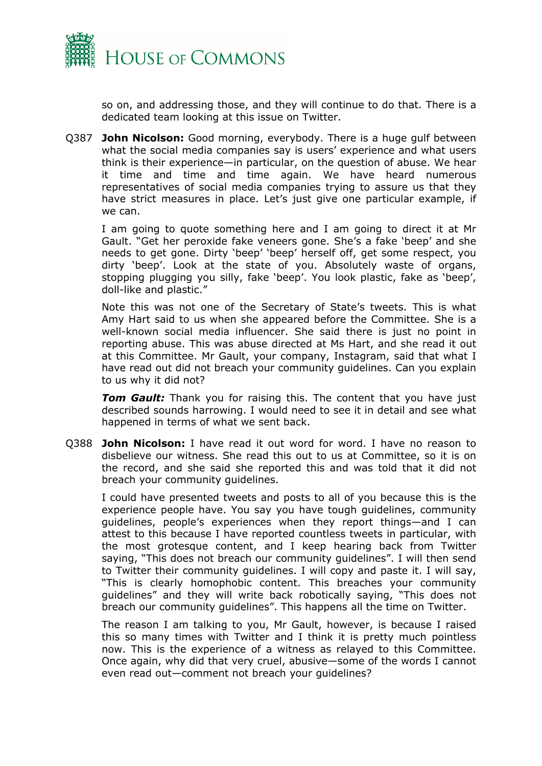

so on, and addressing those, and they will continue to do that. There is a dedicated team looking at this issue on Twitter.

Q387 **John Nicolson:** Good morning, everybody. There is a huge gulf between what the social media companies say is users' experience and what users think is their experience—in particular, on the question of abuse. We hear it time and time and time again. We have heard numerous representatives of social media companies trying to assure us that they have strict measures in place. Let's just give one particular example, if we can.

I am going to quote something here and I am going to direct it at Mr Gault. "Get her peroxide fake veneers gone. She's a fake 'beep' and she needs to get gone. Dirty 'beep' 'beep' herself off, get some respect, you dirty 'beep'. Look at the state of you. Absolutely waste of organs, stopping plugging you silly, fake 'beep'. You look plastic, fake as 'beep', doll-like and plastic."

Note this was not one of the Secretary of State's tweets. This is what Amy Hart said to us when she appeared before the Committee. She is a well-known social media influencer. She said there is just no point in reporting abuse. This was abuse directed at Ms Hart, and she read it out at this Committee. Mr Gault, your company, Instagram, said that what I have read out did not breach your community guidelines. Can you explain to us why it did not?

**Tom Gault:** Thank you for raising this. The content that you have just described sounds harrowing. I would need to see it in detail and see what happened in terms of what we sent back.

Q388 **John Nicolson:** I have read it out word for word. I have no reason to disbelieve our witness. She read this out to us at Committee, so it is on the record, and she said she reported this and was told that it did not breach your community guidelines.

I could have presented tweets and posts to all of you because this is the experience people have. You say you have tough guidelines, community guidelines, people's experiences when they report things—and I can attest to this because I have reported countless tweets in particular, with the most grotesque content, and I keep hearing back from Twitter saying, "This does not breach our community guidelines". I will then send to Twitter their community guidelines. I will copy and paste it. I will say, "This is clearly homophobic content. This breaches your community guidelines" and they will write back robotically saying, "This does not breach our community guidelines". This happens all the time on Twitter.

The reason I am talking to you, Mr Gault, however, is because I raised this so many times with Twitter and I think it is pretty much pointless now. This is the experience of a witness as relayed to this Committee. Once again, why did that very cruel, abusive—some of the words I cannot even read out—comment not breach your guidelines?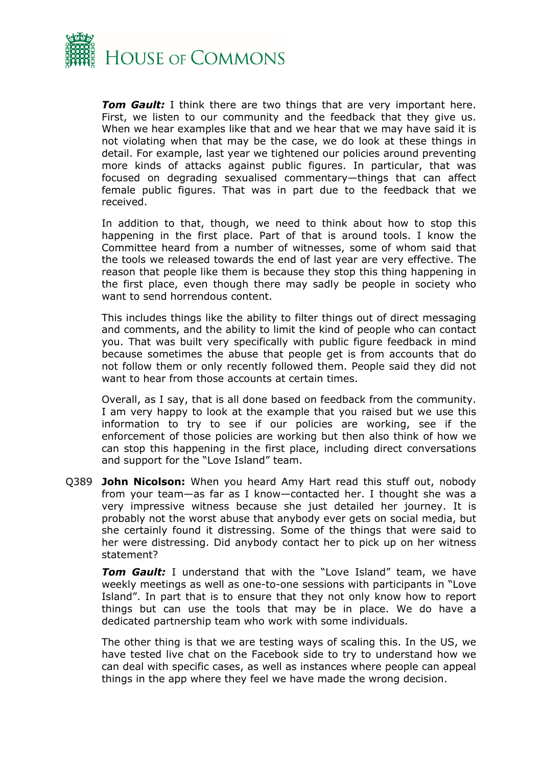

*Tom Gault:* I think there are two things that are very important here. First, we listen to our community and the feedback that they give us. When we hear examples like that and we hear that we may have said it is not violating when that may be the case, we do look at these things in detail. For example, last year we tightened our policies around preventing more kinds of attacks against public figures. In particular, that was focused on degrading sexualised commentary—things that can affect female public figures. That was in part due to the feedback that we received.

In addition to that, though, we need to think about how to stop this happening in the first place. Part of that is around tools. I know the Committee heard from a number of witnesses, some of whom said that the tools we released towards the end of last year are very effective. The reason that people like them is because they stop this thing happening in the first place, even though there may sadly be people in society who want to send horrendous content.

This includes things like the ability to filter things out of direct messaging and comments, and the ability to limit the kind of people who can contact you. That was built very specifically with public figure feedback in mind because sometimes the abuse that people get is from accounts that do not follow them or only recently followed them. People said they did not want to hear from those accounts at certain times.

Overall, as I say, that is all done based on feedback from the community. I am very happy to look at the example that you raised but we use this information to try to see if our policies are working, see if the enforcement of those policies are working but then also think of how we can stop this happening in the first place, including direct conversations and support for the "Love Island" team.

Q389 **John Nicolson:** When you heard Amy Hart read this stuff out, nobody from your team—as far as I know—contacted her. I thought she was a very impressive witness because she just detailed her journey. It is probably not the worst abuse that anybody ever gets on social media, but she certainly found it distressing. Some of the things that were said to her were distressing. Did anybody contact her to pick up on her witness statement?

*Tom Gault:* I understand that with the "Love Island" team, we have weekly meetings as well as one-to-one sessions with participants in "Love Island". In part that is to ensure that they not only know how to report things but can use the tools that may be in place. We do have a dedicated partnership team who work with some individuals.

The other thing is that we are testing ways of scaling this. In the US, we have tested live chat on the Facebook side to try to understand how we can deal with specific cases, as well as instances where people can appeal things in the app where they feel we have made the wrong decision.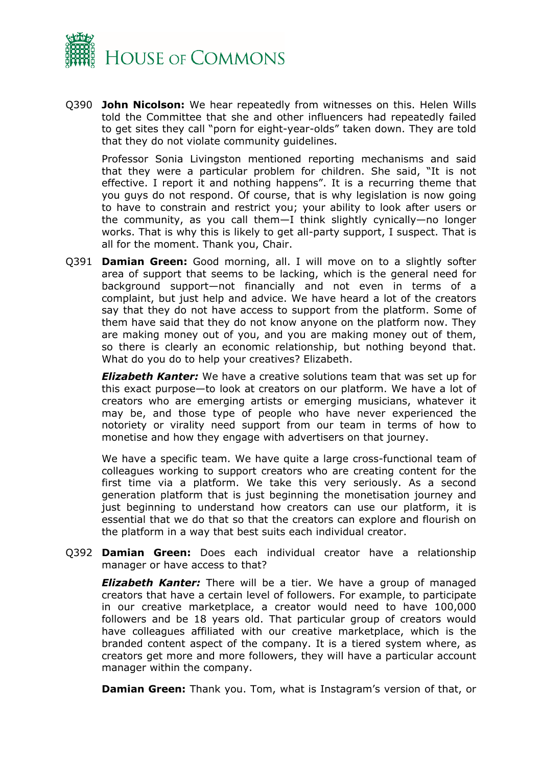

Q390 **John Nicolson:** We hear repeatedly from witnesses on this. Helen Wills told the Committee that she and other influencers had repeatedly failed to get sites they call "porn for eight-year-olds" taken down. They are told that they do not violate community guidelines.

Professor Sonia Livingston mentioned reporting mechanisms and said that they were a particular problem for children. She said, "It is not effective. I report it and nothing happens". It is a recurring theme that you guys do not respond. Of course, that is why legislation is now going to have to constrain and restrict you; your ability to look after users or the community, as you call them—I think slightly cynically—no longer works. That is why this is likely to get all-party support, I suspect. That is all for the moment. Thank you, Chair.

Q391 **Damian Green:** Good morning, all. I will move on to a slightly softer area of support that seems to be lacking, which is the general need for background support—not financially and not even in terms of a complaint, but just help and advice. We have heard a lot of the creators say that they do not have access to support from the platform. Some of them have said that they do not know anyone on the platform now. They are making money out of you, and you are making money out of them, so there is clearly an economic relationship, but nothing beyond that. What do you do to help your creatives? Elizabeth.

*Elizabeth Kanter:* We have a creative solutions team that was set up for this exact purpose—to look at creators on our platform. We have a lot of creators who are emerging artists or emerging musicians, whatever it may be, and those type of people who have never experienced the notoriety or virality need support from our team in terms of how to monetise and how they engage with advertisers on that journey.

We have a specific team. We have quite a large cross-functional team of colleagues working to support creators who are creating content for the first time via a platform. We take this very seriously. As a second generation platform that is just beginning the monetisation journey and just beginning to understand how creators can use our platform, it is essential that we do that so that the creators can explore and flourish on the platform in a way that best suits each individual creator.

Q392 **Damian Green:** Does each individual creator have a relationship manager or have access to that?

*Elizabeth Kanter:* There will be a tier. We have a group of managed creators that have a certain level of followers. For example, to participate in our creative marketplace, a creator would need to have 100,000 followers and be 18 years old. That particular group of creators would have colleagues affiliated with our creative marketplace, which is the branded content aspect of the company. It is a tiered system where, as creators get more and more followers, they will have a particular account manager within the company.

**Damian Green:** Thank you. Tom, what is Instagram's version of that, or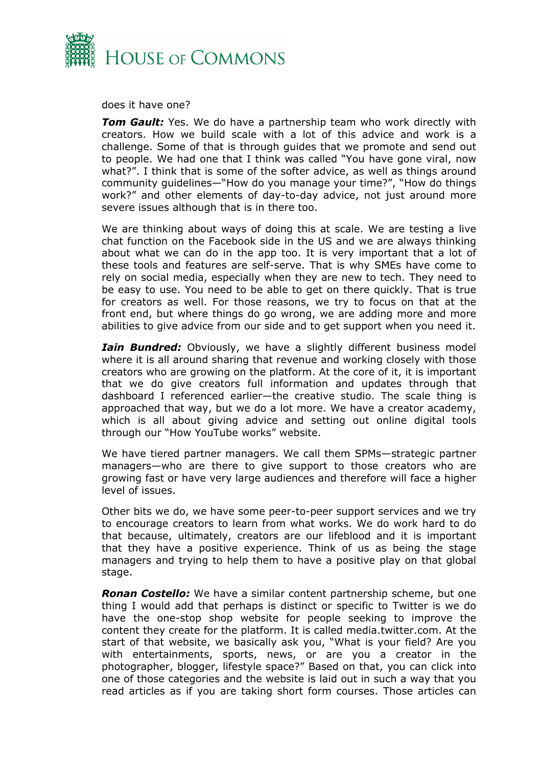

does it have one?

**Tom Gault:** Yes. We do have a partnership team who work directly with creators. How we build scale with a lot of this advice and work is a challenge. Some of that is through guides that we promote and send out to people. We had one that I think was called "You have gone viral, now what?". I think that is some of the softer advice, as well as things around community guidelines—"How do you manage your time?", "How do things work?" and other elements of day-to-day advice, not just around more severe issues although that is in there too.

We are thinking about ways of doing this at scale. We are testing a live chat function on the Facebook side in the US and we are always thinking about what we can do in the app too. It is very important that a lot of these tools and features are self-serve. That is why SMEs have come to rely on social media, especially when they are new to tech. They need to be easy to use. You need to be able to get on there quickly. That is true for creators as well. For those reasons, we try to focus on that at the front end, but where things do go wrong, we are adding more and more abilities to give advice from our side and to get support when you need it.

*Iain Bundred:* Obviously, we have a slightly different business model where it is all around sharing that revenue and working closely with those creators who are growing on the platform. At the core of it, it is important that we do give creators full information and updates through that dashboard I referenced earlier—the creative studio. The scale thing is approached that way, but we do a lot more. We have a creator academy, which is all about giving advice and setting out online digital tools through our "How YouTube works" website.

We have tiered partner managers. We call them SPMs—strategic partner managers—who are there to give support to those creators who are growing fast or have very large audiences and therefore will face a higher level of issues.

Other bits we do, we have some peer-to-peer support services and we try to encourage creators to learn from what works. We do work hard to do that because, ultimately, creators are our lifeblood and it is important that they have a positive experience. Think of us as being the stage managers and trying to help them to have a positive play on that global stage.

*Ronan Costello:* We have a similar content partnership scheme, but one thing I would add that perhaps is distinct or specific to Twitter is we do have the one-stop shop website for people seeking to improve the content they create for the platform. It is called media.twitter.com. At the start of that website, we basically ask you, "What is your field? Are you with entertainments, sports, news, or are you a creator in the photographer, blogger, lifestyle space?" Based on that, you can click into one of those categories and the website is laid out in such a way that you read articles as if you are taking short form courses. Those articles can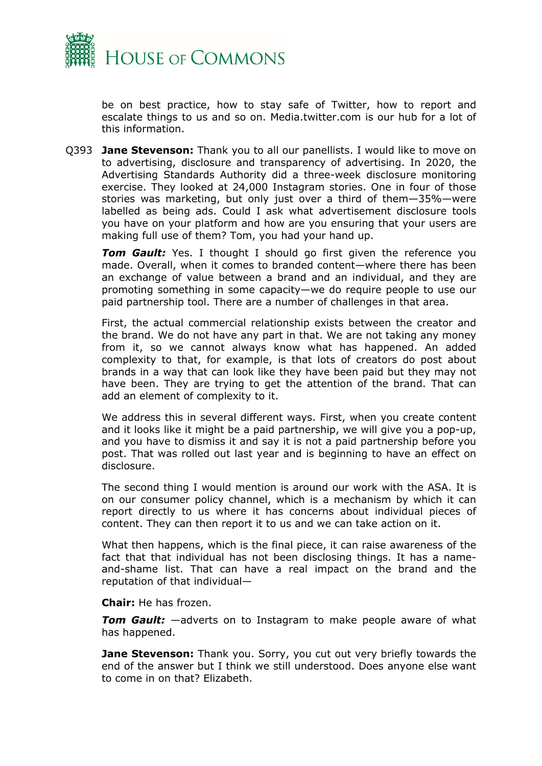

be on best practice, how to stay safe of Twitter, how to report and escalate things to us and so on. Media.twitter.com is our hub for a lot of this information.

Q393 **Jane Stevenson:** Thank you to all our panellists. I would like to move on to advertising, disclosure and transparency of advertising. In 2020, the Advertising Standards Authority did a three-week disclosure monitoring exercise. They looked at 24,000 Instagram stories. One in four of those stories was marketing, but only just over a third of them—35%—were labelled as being ads. Could I ask what advertisement disclosure tools you have on your platform and how are you ensuring that your users are making full use of them? Tom, you had your hand up.

**Tom Gault:** Yes. I thought I should go first given the reference you made. Overall, when it comes to branded content—where there has been an exchange of value between a brand and an individual, and they are promoting something in some capacity—we do require people to use our paid partnership tool. There are a number of challenges in that area.

First, the actual commercial relationship exists between the creator and the brand. We do not have any part in that. We are not taking any money from it, so we cannot always know what has happened. An added complexity to that, for example, is that lots of creators do post about brands in a way that can look like they have been paid but they may not have been. They are trying to get the attention of the brand. That can add an element of complexity to it.

We address this in several different ways. First, when you create content and it looks like it might be a paid partnership, we will give you a pop-up, and you have to dismiss it and say it is not a paid partnership before you post. That was rolled out last year and is beginning to have an effect on disclosure.

The second thing I would mention is around our work with the ASA. It is on our consumer policy channel, which is a mechanism by which it can report directly to us where it has concerns about individual pieces of content. They can then report it to us and we can take action on it.

What then happens, which is the final piece, it can raise awareness of the fact that that individual has not been disclosing things. It has a nameand-shame list. That can have a real impact on the brand and the reputation of that individual—

**Chair:** He has frozen.

*Tom Gault:* —adverts on to Instagram to make people aware of what has happened.

**Jane Stevenson:** Thank you. Sorry, you cut out very briefly towards the end of the answer but I think we still understood. Does anyone else want to come in on that? Elizabeth.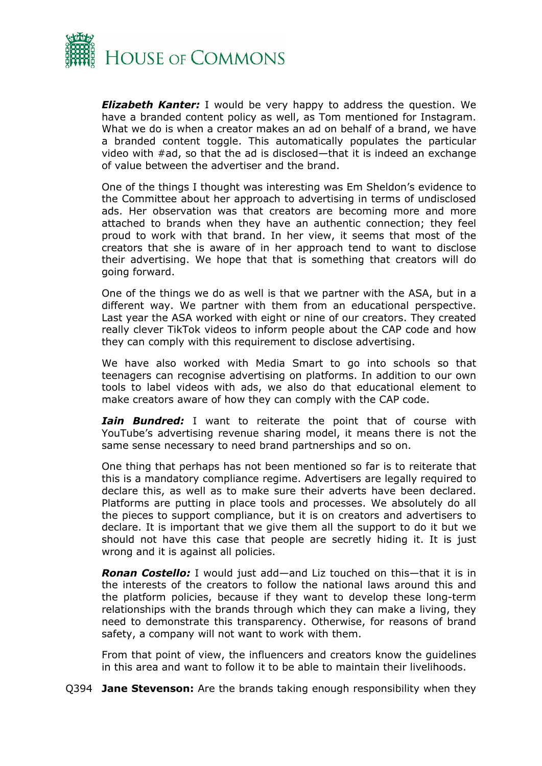

*Elizabeth Kanter:* I would be very happy to address the question. We have a branded content policy as well, as Tom mentioned for Instagram. What we do is when a creator makes an ad on behalf of a brand, we have a branded content toggle. This automatically populates the particular video with #ad, so that the ad is disclosed—that it is indeed an exchange of value between the advertiser and the brand.

One of the things I thought was interesting was Em Sheldon's evidence to the Committee about her approach to advertising in terms of undisclosed ads. Her observation was that creators are becoming more and more attached to brands when they have an authentic connection; they feel proud to work with that brand. In her view, it seems that most of the creators that she is aware of in her approach tend to want to disclose their advertising. We hope that that is something that creators will do going forward.

One of the things we do as well is that we partner with the ASA, but in a different way. We partner with them from an educational perspective. Last year the ASA worked with eight or nine of our creators. They created really clever TikTok videos to inform people about the CAP code and how they can comply with this requirement to disclose advertising.

We have also worked with Media Smart to go into schools so that teenagers can recognise advertising on platforms. In addition to our own tools to label videos with ads, we also do that educational element to make creators aware of how they can comply with the CAP code.

*Iain Bundred:* I want to reiterate the point that of course with YouTube's advertising revenue sharing model, it means there is not the same sense necessary to need brand partnerships and so on.

One thing that perhaps has not been mentioned so far is to reiterate that this is a mandatory compliance regime. Advertisers are legally required to declare this, as well as to make sure their adverts have been declared. Platforms are putting in place tools and processes. We absolutely do all the pieces to support compliance, but it is on creators and advertisers to declare. It is important that we give them all the support to do it but we should not have this case that people are secretly hiding it. It is just wrong and it is against all policies.

*Ronan Costello:* I would just add—and Liz touched on this—that it is in the interests of the creators to follow the national laws around this and the platform policies, because if they want to develop these long-term relationships with the brands through which they can make a living, they need to demonstrate this transparency. Otherwise, for reasons of brand safety, a company will not want to work with them.

From that point of view, the influencers and creators know the guidelines in this area and want to follow it to be able to maintain their livelihoods.

Q394 **Jane Stevenson:** Are the brands taking enough responsibility when they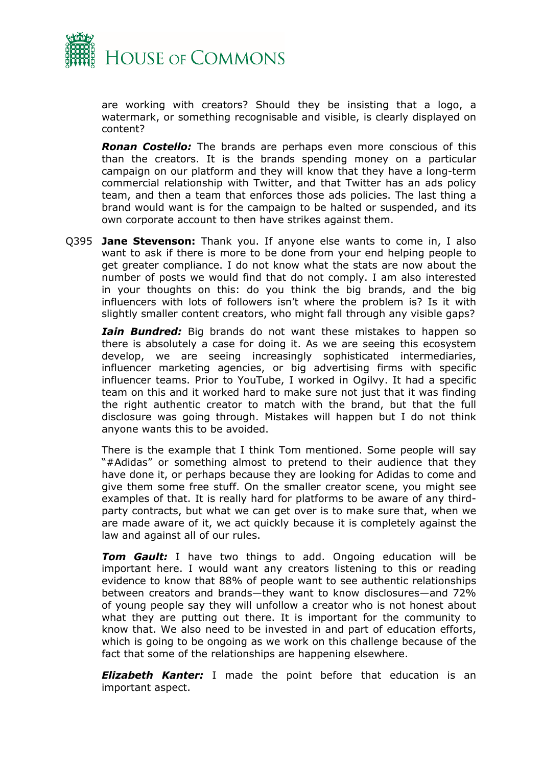

are working with creators? Should they be insisting that a logo, a watermark, or something recognisable and visible, is clearly displayed on content?

*Ronan Costello:* The brands are perhaps even more conscious of this than the creators. It is the brands spending money on a particular campaign on our platform and they will know that they have a long-term commercial relationship with Twitter, and that Twitter has an ads policy team, and then a team that enforces those ads policies. The last thing a brand would want is for the campaign to be halted or suspended, and its own corporate account to then have strikes against them.

Q395 **Jane Stevenson:** Thank you. If anyone else wants to come in, I also want to ask if there is more to be done from your end helping people to get greater compliance. I do not know what the stats are now about the number of posts we would find that do not comply. I am also interested in your thoughts on this: do you think the big brands, and the big influencers with lots of followers isn't where the problem is? Is it with slightly smaller content creators, who might fall through any visible gaps?

*Iain Bundred:* Big brands do not want these mistakes to happen so there is absolutely a case for doing it. As we are seeing this ecosystem develop, we are seeing increasingly sophisticated intermediaries, influencer marketing agencies, or big advertising firms with specific influencer teams. Prior to YouTube, I worked in Ogilvy. It had a specific team on this and it worked hard to make sure not just that it was finding the right authentic creator to match with the brand, but that the full disclosure was going through. Mistakes will happen but I do not think anyone wants this to be avoided.

There is the example that I think Tom mentioned. Some people will say "#Adidas" or something almost to pretend to their audience that they have done it, or perhaps because they are looking for Adidas to come and give them some free stuff. On the smaller creator scene, you might see examples of that. It is really hard for platforms to be aware of any thirdparty contracts, but what we can get over is to make sure that, when we are made aware of it, we act quickly because it is completely against the law and against all of our rules.

*Tom Gault:* I have two things to add. Ongoing education will be important here. I would want any creators listening to this or reading evidence to know that 88% of people want to see authentic relationships between creators and brands—they want to know disclosures—and 72% of young people say they will unfollow a creator who is not honest about what they are putting out there. It is important for the community to know that. We also need to be invested in and part of education efforts, which is going to be ongoing as we work on this challenge because of the fact that some of the relationships are happening elsewhere.

*Elizabeth Kanter:* I made the point before that education is an important aspect.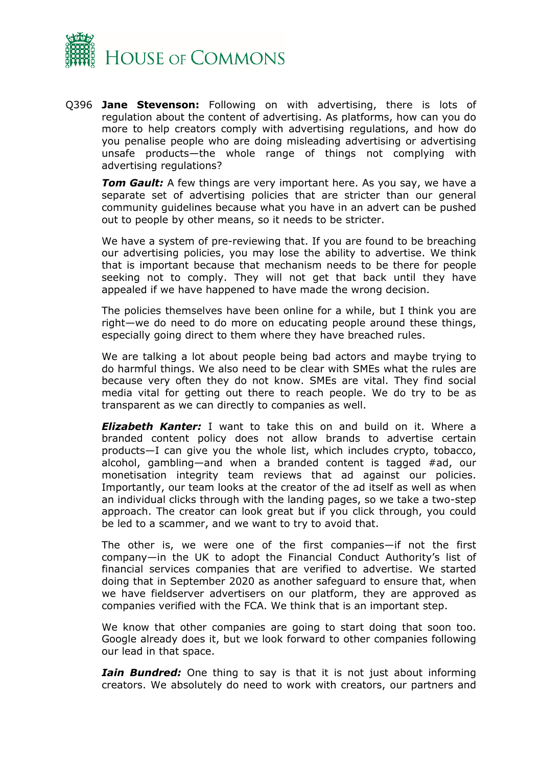

Q396 **Jane Stevenson:** Following on with advertising, there is lots of regulation about the content of advertising. As platforms, how can you do more to help creators comply with advertising regulations, and how do you penalise people who are doing misleading advertising or advertising unsafe products—the whole range of things not complying with advertising regulations?

*Tom Gault:* A few things are very important here. As you say, we have a separate set of advertising policies that are stricter than our general community guidelines because what you have in an advert can be pushed out to people by other means, so it needs to be stricter.

We have a system of pre-reviewing that. If you are found to be breaching our advertising policies, you may lose the ability to advertise. We think that is important because that mechanism needs to be there for people seeking not to comply. They will not get that back until they have appealed if we have happened to have made the wrong decision.

The policies themselves have been online for a while, but I think you are right—we do need to do more on educating people around these things, especially going direct to them where they have breached rules.

We are talking a lot about people being bad actors and maybe trying to do harmful things. We also need to be clear with SMEs what the rules are because very often they do not know. SMEs are vital. They find social media vital for getting out there to reach people. We do try to be as transparent as we can directly to companies as well.

*Elizabeth Kanter:* I want to take this on and build on it. Where a branded content policy does not allow brands to advertise certain products—I can give you the whole list, which includes crypto, tobacco, alcohol, gambling—and when a branded content is tagged #ad, our monetisation integrity team reviews that ad against our policies. Importantly, our team looks at the creator of the ad itself as well as when an individual clicks through with the landing pages, so we take a two-step approach. The creator can look great but if you click through, you could be led to a scammer, and we want to try to avoid that.

The other is, we were one of the first companies—if not the first company—in the UK to adopt the Financial Conduct Authority's list of financial services companies that are verified to advertise. We started doing that in September 2020 as another safeguard to ensure that, when we have fieldserver advertisers on our platform, they are approved as companies verified with the FCA. We think that is an important step.

We know that other companies are going to start doing that soon too. Google already does it, but we look forward to other companies following our lead in that space.

*Iain Bundred:* One thing to say is that it is not just about informing creators. We absolutely do need to work with creators, our partners and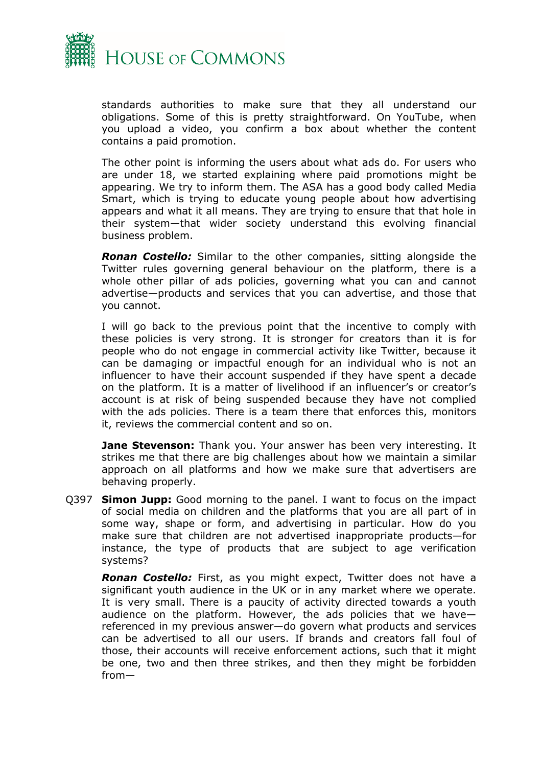

standards authorities to make sure that they all understand our obligations. Some of this is pretty straightforward. On YouTube, when you upload a video, you confirm a box about whether the content contains a paid promotion.

The other point is informing the users about what ads do. For users who are under 18, we started explaining where paid promotions might be appearing. We try to inform them. The ASA has a good body called Media Smart, which is trying to educate young people about how advertising appears and what it all means. They are trying to ensure that that hole in their system—that wider society understand this evolving financial business problem.

*Ronan Costello:* Similar to the other companies, sitting alongside the Twitter rules governing general behaviour on the platform, there is a whole other pillar of ads policies, governing what you can and cannot advertise—products and services that you can advertise, and those that you cannot.

I will go back to the previous point that the incentive to comply with these policies is very strong. It is stronger for creators than it is for people who do not engage in commercial activity like Twitter, because it can be damaging or impactful enough for an individual who is not an influencer to have their account suspended if they have spent a decade on the platform. It is a matter of livelihood if an influencer's or creator's account is at risk of being suspended because they have not complied with the ads policies. There is a team there that enforces this, monitors it, reviews the commercial content and so on.

**Jane Stevenson:** Thank you. Your answer has been very interesting. It strikes me that there are big challenges about how we maintain a similar approach on all platforms and how we make sure that advertisers are behaving properly.

Q397 **Simon Jupp:** Good morning to the panel. I want to focus on the impact of social media on children and the platforms that you are all part of in some way, shape or form, and advertising in particular. How do you make sure that children are not advertised inappropriate products—for instance, the type of products that are subject to age verification systems?

*Ronan Costello:* First, as you might expect, Twitter does not have a significant youth audience in the UK or in any market where we operate. It is very small. There is a paucity of activity directed towards a youth audience on the platform. However, the ads policies that we have referenced in my previous answer—do govern what products and services can be advertised to all our users. If brands and creators fall foul of those, their accounts will receive enforcement actions, such that it might be one, two and then three strikes, and then they might be forbidden from—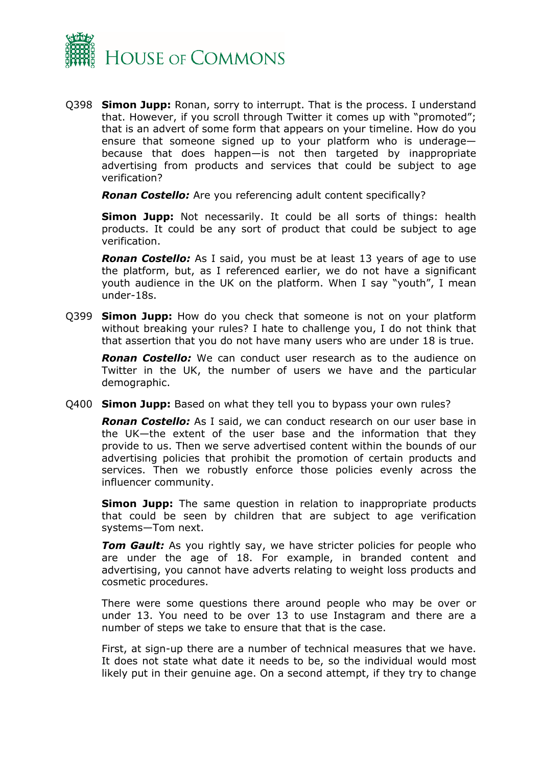

Q398 **Simon Jupp:** Ronan, sorry to interrupt. That is the process. I understand that. However, if you scroll through Twitter it comes up with "promoted"; that is an advert of some form that appears on your timeline. How do you ensure that someone signed up to your platform who is underage because that does happen—is not then targeted by inappropriate advertising from products and services that could be subject to age verification?

*Ronan Costello:* Are you referencing adult content specifically?

**Simon Jupp:** Not necessarily. It could be all sorts of things: health products. It could be any sort of product that could be subject to age verification.

*Ronan Costello:* As I said, you must be at least 13 years of age to use the platform, but, as I referenced earlier, we do not have a significant youth audience in the UK on the platform. When I say "youth", I mean under-18s.

Q399 **Simon Jupp:** How do you check that someone is not on your platform without breaking your rules? I hate to challenge you, I do not think that that assertion that you do not have many users who are under 18 is true.

*Ronan Costello:* We can conduct user research as to the audience on Twitter in the UK, the number of users we have and the particular demographic.

Q400 **Simon Jupp:** Based on what they tell you to bypass your own rules?

*Ronan Costello:* As I said, we can conduct research on our user base in the UK—the extent of the user base and the information that they provide to us. Then we serve advertised content within the bounds of our advertising policies that prohibit the promotion of certain products and services. Then we robustly enforce those policies evenly across the influencer community.

**Simon Jupp:** The same question in relation to inappropriate products that could be seen by children that are subject to age verification systems—Tom next.

**Tom Gault:** As you rightly say, we have stricter policies for people who are under the age of 18. For example, in branded content and advertising, you cannot have adverts relating to weight loss products and cosmetic procedures.

There were some questions there around people who may be over or under 13. You need to be over 13 to use Instagram and there are a number of steps we take to ensure that that is the case.

First, at sign-up there are a number of technical measures that we have. It does not state what date it needs to be, so the individual would most likely put in their genuine age. On a second attempt, if they try to change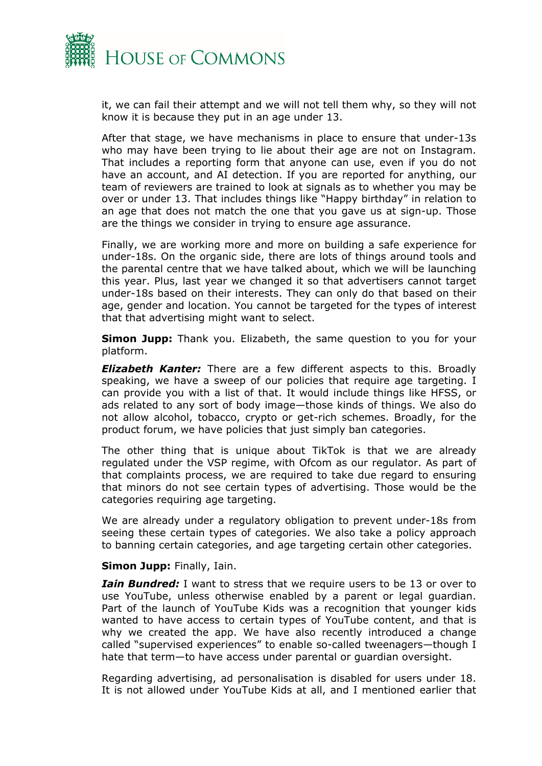

it, we can fail their attempt and we will not tell them why, so they will not know it is because they put in an age under 13.

After that stage, we have mechanisms in place to ensure that under-13s who may have been trying to lie about their age are not on Instagram. That includes a reporting form that anyone can use, even if you do not have an account, and AI detection. If you are reported for anything, our team of reviewers are trained to look at signals as to whether you may be over or under 13. That includes things like "Happy birthday" in relation to an age that does not match the one that you gave us at sign-up. Those are the things we consider in trying to ensure age assurance.

Finally, we are working more and more on building a safe experience for under-18s. On the organic side, there are lots of things around tools and the parental centre that we have talked about, which we will be launching this year. Plus, last year we changed it so that advertisers cannot target under-18s based on their interests. They can only do that based on their age, gender and location. You cannot be targeted for the types of interest that that advertising might want to select.

**Simon Jupp:** Thank you. Elizabeth, the same question to you for your platform.

*Elizabeth Kanter:* There are a few different aspects to this. Broadly speaking, we have a sweep of our policies that require age targeting. I can provide you with a list of that. It would include things like HFSS, or ads related to any sort of body image—those kinds of things. We also do not allow alcohol, tobacco, crypto or get-rich schemes. Broadly, for the product forum, we have policies that just simply ban categories.

The other thing that is unique about TikTok is that we are already regulated under the VSP regime, with Ofcom as our regulator. As part of that complaints process, we are required to take due regard to ensuring that minors do not see certain types of advertising. Those would be the categories requiring age targeting.

We are already under a regulatory obligation to prevent under-18s from seeing these certain types of categories. We also take a policy approach to banning certain categories, and age targeting certain other categories.

#### **Simon Jupp:** Finally, Iain.

*Iain Bundred:* I want to stress that we require users to be 13 or over to use YouTube, unless otherwise enabled by a parent or legal guardian. Part of the launch of YouTube Kids was a recognition that younger kids wanted to have access to certain types of YouTube content, and that is why we created the app. We have also recently introduced a change called "supervised experiences" to enable so-called tweenagers—though I hate that term—to have access under parental or guardian oversight.

Regarding advertising, ad personalisation is disabled for users under 18. It is not allowed under YouTube Kids at all, and I mentioned earlier that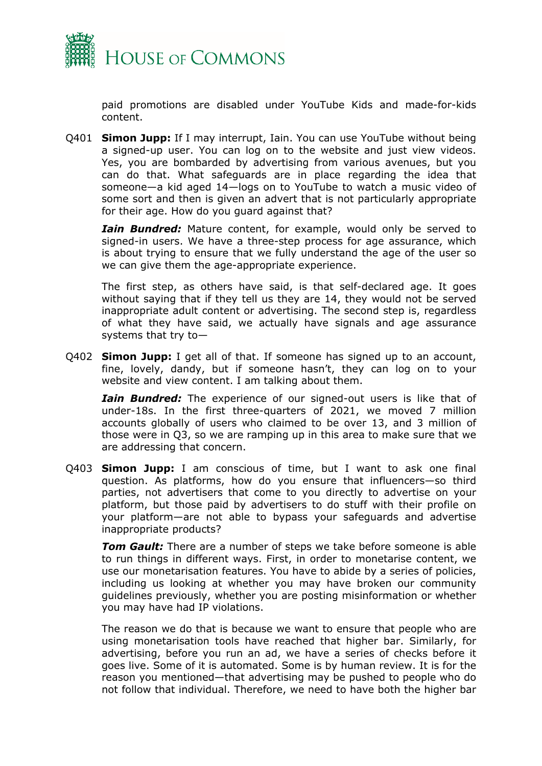

paid promotions are disabled under YouTube Kids and made-for-kids content.

Q401 **Simon Jupp:** If I may interrupt, Iain. You can use YouTube without being a signed-up user. You can log on to the website and just view videos. Yes, you are bombarded by advertising from various avenues, but you can do that. What safeguards are in place regarding the idea that someone—a kid aged 14—logs on to YouTube to watch a music video of some sort and then is given an advert that is not particularly appropriate for their age. How do you guard against that?

*Iain Bundred:* Mature content, for example, would only be served to signed-in users. We have a three-step process for age assurance, which is about trying to ensure that we fully understand the age of the user so we can give them the age-appropriate experience.

The first step, as others have said, is that self-declared age. It goes without saying that if they tell us they are 14, they would not be served inappropriate adult content or advertising. The second step is, regardless of what they have said, we actually have signals and age assurance systems that try to—

Q402 **Simon Jupp:** I get all of that. If someone has signed up to an account, fine, lovely, dandy, but if someone hasn't, they can log on to your website and view content. I am talking about them.

*Iain Bundred:* The experience of our signed-out users is like that of under-18s. In the first three-quarters of 2021, we moved 7 million accounts globally of users who claimed to be over 13, and 3 million of those were in Q3, so we are ramping up in this area to make sure that we are addressing that concern.

Q403 **Simon Jupp:** I am conscious of time, but I want to ask one final question. As platforms, how do you ensure that influencers—so third parties, not advertisers that come to you directly to advertise on your platform, but those paid by advertisers to do stuff with their profile on your platform—are not able to bypass your safeguards and advertise inappropriate products?

*Tom Gault:* There are a number of steps we take before someone is able to run things in different ways. First, in order to monetarise content, we use our monetarisation features. You have to abide by a series of policies, including us looking at whether you may have broken our community guidelines previously, whether you are posting misinformation or whether you may have had IP violations.

The reason we do that is because we want to ensure that people who are using monetarisation tools have reached that higher bar. Similarly, for advertising, before you run an ad, we have a series of checks before it goes live. Some of it is automated. Some is by human review. It is for the reason you mentioned—that advertising may be pushed to people who do not follow that individual. Therefore, we need to have both the higher bar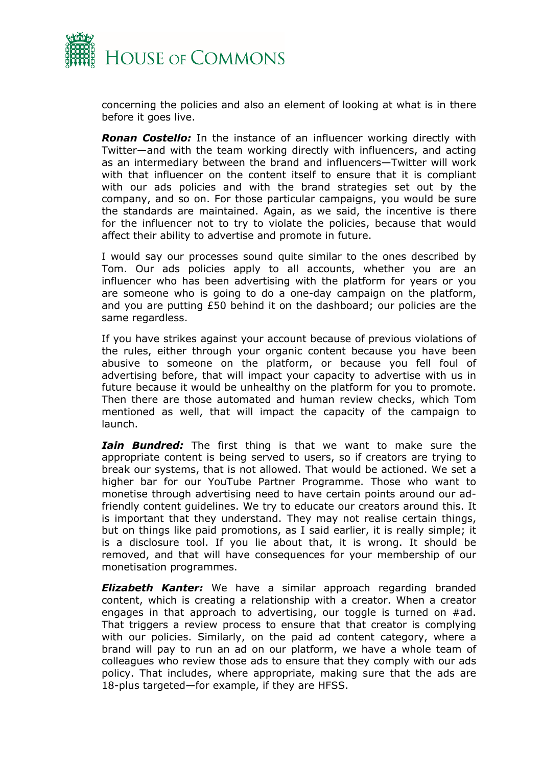

concerning the policies and also an element of looking at what is in there before it goes live.

*Ronan Costello:* In the instance of an influencer working directly with Twitter—and with the team working directly with influencers, and acting as an intermediary between the brand and influencers—Twitter will work with that influencer on the content itself to ensure that it is compliant with our ads policies and with the brand strategies set out by the company, and so on. For those particular campaigns, you would be sure the standards are maintained. Again, as we said, the incentive is there for the influencer not to try to violate the policies, because that would affect their ability to advertise and promote in future.

I would say our processes sound quite similar to the ones described by Tom. Our ads policies apply to all accounts, whether you are an influencer who has been advertising with the platform for years or you are someone who is going to do a one-day campaign on the platform, and you are putting £50 behind it on the dashboard; our policies are the same regardless.

If you have strikes against your account because of previous violations of the rules, either through your organic content because you have been abusive to someone on the platform, or because you fell foul of advertising before, that will impact your capacity to advertise with us in future because it would be unhealthy on the platform for you to promote. Then there are those automated and human review checks, which Tom mentioned as well, that will impact the capacity of the campaign to launch.

*Iain Bundred:* The first thing is that we want to make sure the appropriate content is being served to users, so if creators are trying to break our systems, that is not allowed. That would be actioned. We set a higher bar for our YouTube Partner Programme. Those who want to monetise through advertising need to have certain points around our adfriendly content guidelines. We try to educate our creators around this. It is important that they understand. They may not realise certain things, but on things like paid promotions, as I said earlier, it is really simple; it is a disclosure tool. If you lie about that, it is wrong. It should be removed, and that will have consequences for your membership of our monetisation programmes.

*Elizabeth Kanter:* We have a similar approach regarding branded content, which is creating a relationship with a creator. When a creator engages in that approach to advertising, our toggle is turned on #ad. That triggers a review process to ensure that that creator is complying with our policies. Similarly, on the paid ad content category, where a brand will pay to run an ad on our platform, we have a whole team of colleagues who review those ads to ensure that they comply with our ads policy. That includes, where appropriate, making sure that the ads are 18-plus targeted—for example, if they are HFSS.